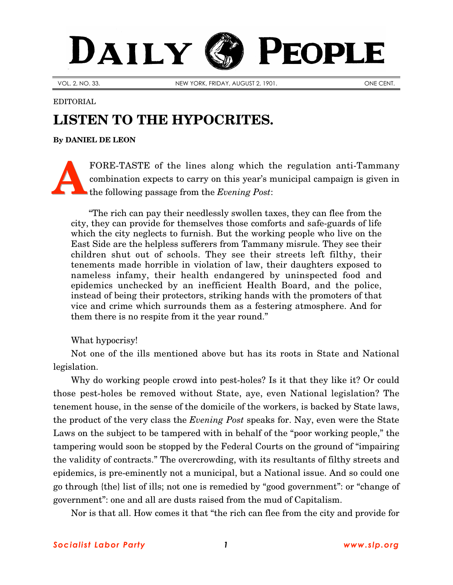## PEOPLE DAILY

VOL. 2, NO. 33. NEW YORK, FRIDAY, AUGUST 2, 1901.

EDITORIAL

## **LISTEN TO THE HYPOCRITES.**

**By [DANIEL DE LEON](http://www.slp.org/De_Leon.htm)**

FORE-TASTE of the lines along which the regulation anti-Tammany combination expects to carry on this year's municipal campaign is given in the following passage from the *Evening Post*: **A**

"The rich can pay their needlessly swollen taxes, they can flee from the city, they can provide for themselves those comforts and safe-guards of life which the city neglects to furnish. But the working people who live on the East Side are the helpless sufferers from Tammany misrule. They see their children shut out of schools. They see their streets left filthy, their tenements made horrible in violation of law, their daughters exposed to nameless infamy, their health endangered by uninspected food and epidemics unchecked by an inefficient Health Board, and the police, instead of being their protectors, striking hands with the promoters of that vice and crime which surrounds them as a festering atmosphere. And for them there is no respite from it the year round."

What hypocrisy!

Not one of the ills mentioned above but has its roots in State and National legislation.

Why do working people crowd into pest-holes? Is it that they like it? Or could those pest-holes be removed without State, aye, even National legislation? The tenement house, in the sense of the domicile of the workers, is backed by State laws, the product of the very class the *Evening Post* speaks for. Nay, even were the State Laws on the subject to be tampered with in behalf of the "poor working people," the tampering would soon be stopped by the Federal Courts on the ground of "impairing the validity of contracts." The overcrowding, with its resultants of filthy streets and epidemics, is pre-eminently not a municipal, but a National issue. And so could one go through {the} list of ills; not one is remedied by "good government": or "change of government": one and all are dusts raised from the mud of Capitalism.

Nor is that all. How comes it that "the rich can flee from the city and provide for